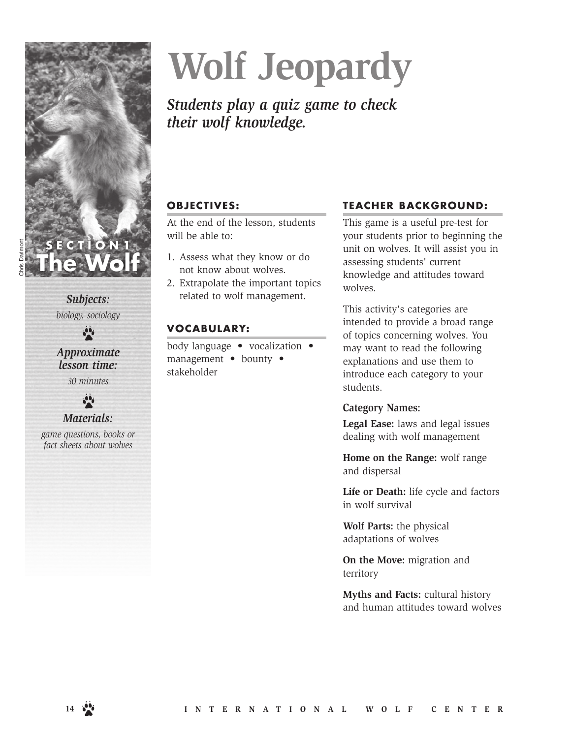

*Subjects: biology, sociology*

 $\frac{1}{2}$ 

*Approximate lesson time: 30 minutes*

## *Materials:*

*game questions, books or fact sheets about wolves*

# **Wolf Jeopardy**

# *Students play a quiz game to check their wolf knowledge.*

# **OBJECTIVES:**

At the end of the lesson, students will be able to:

- 1. Assess what they know or do not know about wolves.
- 2. Extrapolate the important topics related to wolf management.

# **VOCABULARY:**

body language • vocalization • management • bounty • stakeholder

## **TEACHER BACKGROUND:**

This game is a useful pre-test for your students prior to beginning the unit on wolves. It will assist you in assessing students' current knowledge and attitudes toward wolves.

This activity's categories are intended to provide a broad range of topics concerning wolves. You may want to read the following explanations and use them to introduce each category to your students.

## **Category Names:**

**Legal Ease:** laws and legal issues dealing with wolf management

**Home on the Range:** wolf range and dispersal

**Life or Death:** life cycle and factors in wolf survival

**Wolf Parts:** the physical adaptations of wolves

**On the Move:** migration and territory

**Myths and Facts:** cultural history and human attitudes toward wolves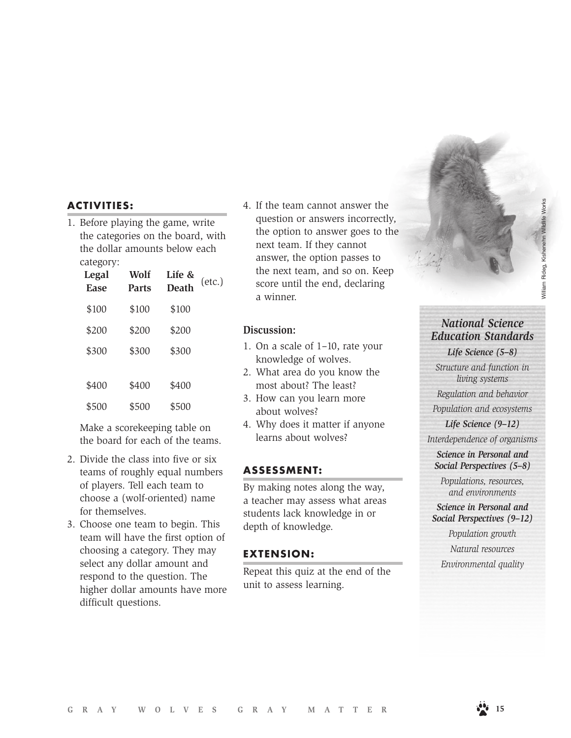#### **ACTIVITIES:**

1. Before playing the game, write the categories on the board, with the dollar amounts below each category:

| Legal<br><b>Ease</b> | Wolf<br><b>Parts</b> | Life &<br><b>Death</b> | $(\text{etc.})$ |
|----------------------|----------------------|------------------------|-----------------|
| \$100                | \$100                | \$100                  |                 |
| \$200                | \$200                | \$200                  |                 |
| \$300                | \$300                | \$300                  |                 |
|                      |                      |                        |                 |
| \$400                | \$400                | \$400                  |                 |
| \$500                | \$500                | \$500                  |                 |

Make a scorekeeping table on the board for each of the teams.

- 2. Divide the class into five or six teams of roughly equal numbers of players. Tell each team to choose a (wolf-oriented) name for themselves.
- 3. Choose one team to begin. This team will have the first option of choosing a category. They may select any dollar amount and respond to the question. The higher dollar amounts have more difficult questions.

4. If the team cannot answer the question or answers incorrectly, the option to answer goes to the next team. If they cannot answer, the option passes to the next team, and so on. Keep score until the end, declaring a winner.

#### **Discussion:**

- 1. On a scale of 1–10, rate your knowledge of wolves.
- 2. What area do you know the most about? The least?
- 3. How can you learn more about wolves?
- 4. Why does it matter if anyone learns about wolves?

#### **ASSESSMENT:**

By making notes along the way, a teacher may assess what areas students lack knowledge in or depth of knowledge.

#### **EXTENSION:**

Repeat this quiz at the end of the unit to assess learning.

### *National Science Education Standards*

*Life Science (5–8) Structure and function in* 

*living systems*

*Regulation and behavior*

*Population and ecosystems*

*Life Science (9–12) Interdependence of organisms*

*Science in Personal and Social Perspectives (5–8)*

*Populations, resources, and environments*

*Science in Personal and Social Perspectives (9–12)*

*Population growth Natural resources Environmental quality*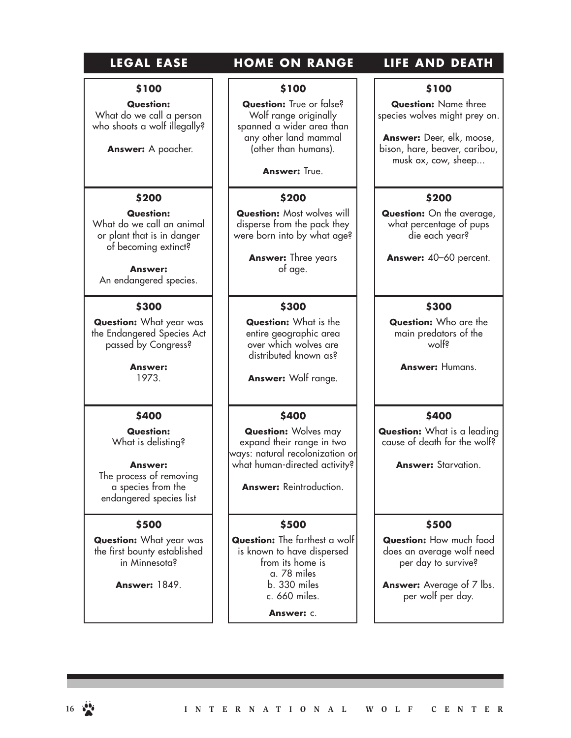# LEGAL EASE **HOME ON RANGE LIFE AND DEATH**

# **\$100**

**Question:** What do we call a person who shoots a wolf illegally?

**Answer:** A poacher.

# **\$200**

**Question:** What do we call an animal or plant that is in danger of becoming extinct?

**Answer:** An endangered species.

#### **\$300**

**Question:** What year was the Endangered Species Act passed by Congress?

> **Answer:** 1973.

#### **\$400**

**Question:** What is delisting?

#### **Answer:**

The process of removing a species from the endangered species list

#### **\$500**

**Question:** What year was the first bounty established in Minnesota?

**Answer:** 1849.

#### **\$100**

**Question:** True or false? Wolf range originally spanned a wider area than any other land mammal (other than humans).

**Answer: True.** 

#### **\$200**

**Question:** Most wolves will disperse from the pack they were born into by what age?

> **Answer:** Three years of age.

#### **\$300**

**Question:** What is the entire geographic area over which wolves are distributed known as?

**Answer:** Wolf range.

#### **\$400**

**Question:** Wolves may expand their range in two ways: natural recolonization or what human-directed activity?

**Answer:** Reintroduction.

#### **\$500**

**Question:** The farthest a wolf is known to have dispersed from its home is a. 78 miles b. 330 miles c. 660 miles.

**Answer:** c.

#### **\$100 Question:** Name three

species wolves might prey on.

**Answer:** Deer, elk, moose, bison, hare, beaver, caribou, musk ox, cow, sheep...

#### **\$200**

**Question:** On the average, what percentage of pups die each year?

**Answer:** 40–60 percent.

#### **\$300**

**Question:** Who are the main predators of the wolf?

**Answer:** Humans.

#### **\$400**

**Question:** What is a leading cause of death for the wolf?

**Answer:** Starvation.

#### **\$500**

**Question:** How much food does an average wolf need per day to survive?

**Answer:** Average of 7 lbs. per wolf per day.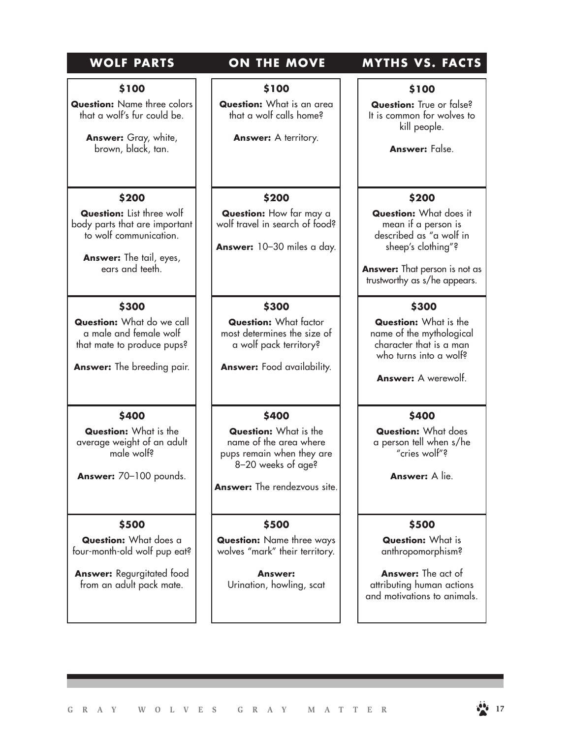#### **\$100**

**Question:** Name three colors that a wolf's fur could be.

> **Answer:** Gray, white, brown, black, tan.

#### **\$200**

**Question:** List three wolf body parts that are important to wolf communication.

**Answer:** The tail, eyes, ears and teeth.

#### **\$300**

**Question:** What do we call a male and female wolf that mate to produce pups?

**Answer:** The breeding pair.

#### **\$400**

**Question:** What is the average weight of an adult male wolf?

**Answer:** 70–100 pounds.

#### **\$500**

**Question:** What does a four-month-old wolf pup eat?

**Answer:** Regurgitated food from an adult pack mate.

**\$100**

**Question:** What is an area that a wolf calls home?

Answer: A territory.

#### **\$200**

**Question:** How far may a wolf travel in search of food?

**Answer:** 10–30 miles a day.

#### **\$300**

**Question:** What factor most determines the size of a wolf pack territory?

**Answer:** Food availability.

#### **\$400**

**Question:** What is the name of the area where pups remain when they are 8–20 weeks of age?

**Answer:** The rendezvous site.

#### **\$500**

**Question:** Name three ways wolves "mark" their territory.

**Answer:** Urination, howling, scat

# **WOLF PARTS ON THE MOVE MYTHS VS. FACTS**

**\$100**

**Question:** True or false? It is common for wolves to kill people.

**Answer:** False.

#### **\$200**

**Question:** What does it mean if a person is described as "a wolf in sheep's clothing"?

**Answer:** That person is not as trustworthy as s/he appears.

#### **\$300**

**Question:** What is the name of the mythological character that is a man who turns into a wolf?

**Answer:** A werewolf.

#### **\$400**

**Question:** What does a person tell when s/he "cries wolf"?

**Answer:** A lie.

#### **\$500**

**Question:** What is anthropomorphism?

**Answer:** The act of attributing human actions and motivations to animals.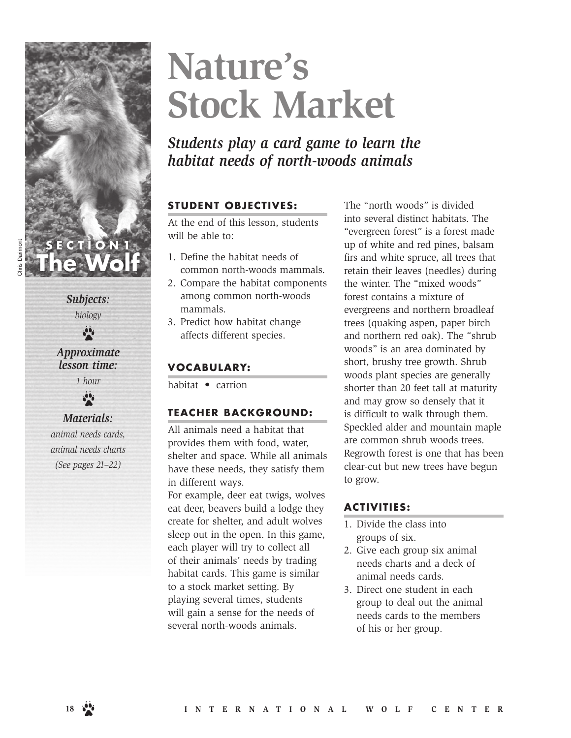# **Nature's Stock Market**

*Students play a card game to learn the habitat needs of north-woods animals*

## **STUDENT OBJECTIVES:**

At the end of this lesson, students will be able to:

- 1. Define the habitat needs of common north-woods mammals.
- 2. Compare the habitat components among common north-woods mammals.
- 3. Predict how habitat change affects different species.

## **VOCABULARY:**

habitat • carrion

#### **TEACHER BACKGROUND:**

All animals need a habitat that provides them with food, water, shelter and space. While all animals have these needs, they satisfy them in different ways.

For example, deer eat twigs, wolves eat deer, beavers build a lodge they create for shelter, and adult wolves sleep out in the open. In this game, each player will try to collect all of their animals' needs by trading habitat cards. This game is similar to a stock market setting. By playing several times, students will gain a sense for the needs of several north-woods animals.

The "north woods" is divided into several distinct habitats. The "evergreen forest" is a forest made up of white and red pines, balsam firs and white spruce, all trees that retain their leaves (needles) during the winter. The "mixed woods" forest contains a mixture of evergreens and northern broadleaf trees (quaking aspen, paper birch and northern red oak). The "shrub woods" is an area dominated by short, brushy tree growth. Shrub woods plant species are generally shorter than 20 feet tall at maturity and may grow so densely that it is difficult to walk through them. Speckled alder and mountain maple are common shrub woods trees. Regrowth forest is one that has been clear-cut but new trees have begun to grow.

#### **ACTIVITIES:**

- 1. Divide the class into groups of six.
- 2. Give each group six animal needs charts and a deck of animal needs cards.
- 3. Direct one student in each group to deal out the animal needs cards to the members of his or her group.

*Subjects:* 

**SECTION1**

**The Wolf**

*biology*  $\frac{\partial \Phi}{\partial t}$ 

*Approximate lesson time:* 

> *1 hour*  $\ddot{\bullet}$

### *Materials:*

*animal needs cards, animal needs charts (See pages 21–22)*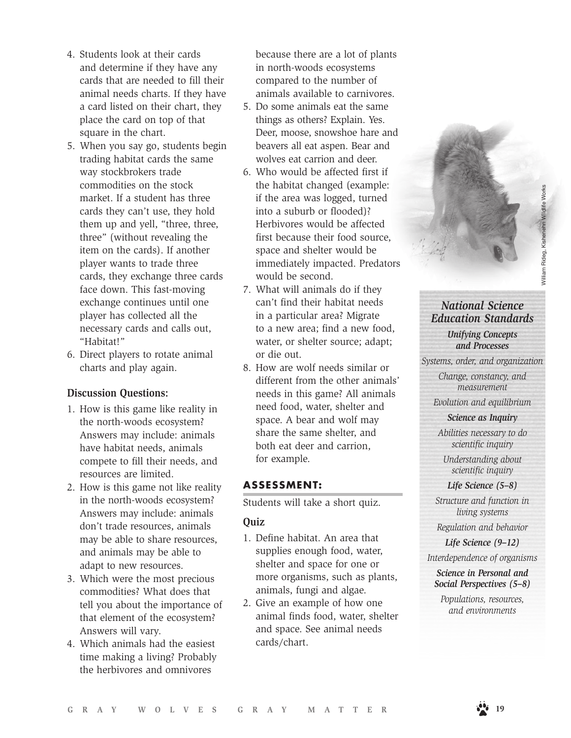- 4. Students look at their cards and determine if they have any cards that are needed to fill their animal needs charts. If they have a card listed on their chart, they place the card on top of that square in the chart.
- 5. When you say go, students begin trading habitat cards the same way stockbrokers trade commodities on the stock market. If a student has three cards they can't use, they hold them up and yell, "three, three, three" (without revealing the item on the cards). If another player wants to trade three cards, they exchange three cards face down. This fast-moving exchange continues until one player has collected all the necessary cards and calls out, "Habitat!"
- 6. Direct players to rotate animal charts and play again.

#### **Discussion Questions:**

- 1. How is this game like reality in the north-woods ecosystem? Answers may include: animals have habitat needs, animals compete to fill their needs, and resources are limited.
- 2. How is this game not like reality in the north-woods ecosystem? Answers may include: animals don't trade resources, animals may be able to share resources, and animals may be able to adapt to new resources.
- 3. Which were the most precious commodities? What does that tell you about the importance of that element of the ecosystem? Answers will vary.
- 4. Which animals had the easiest time making a living? Probably the herbivores and omnivores

because there are a lot of plants in north-woods ecosystems compared to the number of animals available to carnivores.

- 5. Do some animals eat the same things as others? Explain. Yes. Deer, moose, snowshoe hare and beavers all eat aspen. Bear and wolves eat carrion and deer.
- 6. Who would be affected first if the habitat changed (example: if the area was logged, turned into a suburb or flooded)? Herbivores would be affected first because their food source, space and shelter would be immediately impacted. Predators would be second.
- 7. What will animals do if they can't find their habitat needs in a particular area? Migrate to a new area; find a new food, water, or shelter source; adapt; or die out.
- 8. How are wolf needs similar or different from the other animals' needs in this game? All animals need food, water, shelter and space. A bear and wolf may share the same shelter, and both eat deer and carrion, for example.

#### **ASSESSMENT:**

Students will take a short quiz.

#### **Quiz**

- 1. Define habitat. An area that supplies enough food, water, shelter and space for one or more organisms, such as plants, animals, fungi and algae.
- 2. Give an example of how one animal finds food, water, shelter and space. See animal needs cards/chart.

# *National Science Education Standards*

*Unifying Concepts and Processes*

*Systems, order, and organization*

*Change, constancy, and measurement*

*Evolution and equilibrium*

*Science as Inquiry*

*Abilities necessary to do scientific inquiry*

*Understanding about scientific inquiry*

### *Life Science (5–8)*

*Structure and function in living systems*

*Regulation and behavior*

*Life Science (9–12)*

*Interdependence of organisms*

*Science in Personal and Social Perspectives (5–8)*

*Populations, resources, and environments*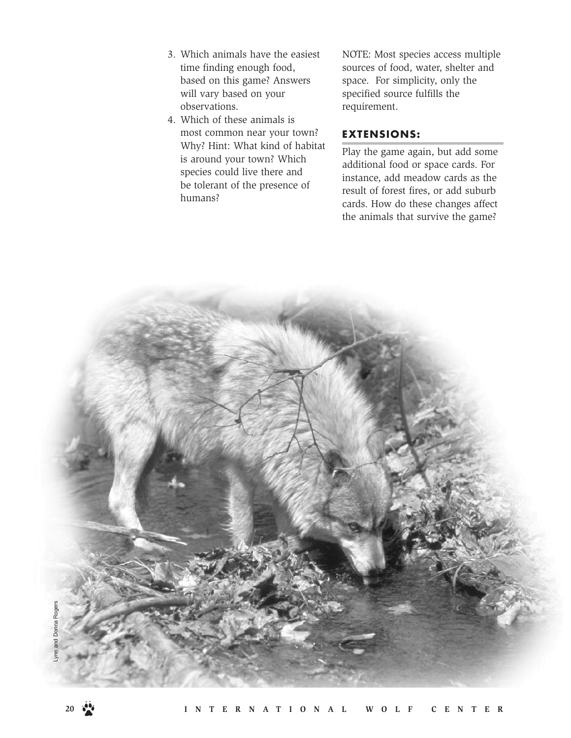- 3. Which animals have the easiest time finding enough food, based on this game? Answers will vary based on your observations.
- 4. Which of these animals is most common near your town? Why? Hint: What kind of habitat is around your town? Which species could live there and be tolerant of the presence of humans?

NOTE: Most species access multiple sources of food, water, shelter and space. For simplicity, only the specified source fulfills the requirement.

#### **EXTENSIONS:**

Play the game again, but add some additional food or space cards. For instance, add meadow cards as the result of forest fires, or add suburb cards. How do these changes affect the animals that survive the game?

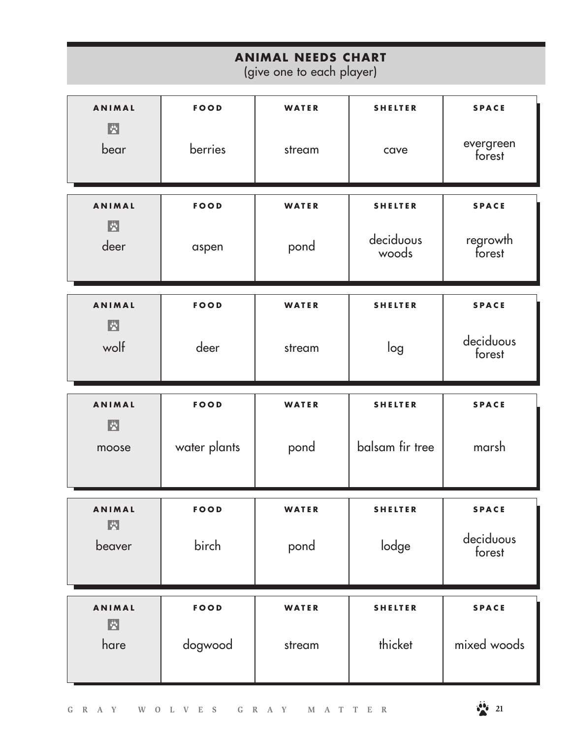| <b>ANIMAL NEEDS CHART</b><br>(give one to each player)                 |              |        |                    |                     |
|------------------------------------------------------------------------|--------------|--------|--------------------|---------------------|
| <b>ANIMAL</b><br>图                                                     | <b>FOOD</b>  | WATER  | <b>SHELTER</b>     | <b>SPACE</b>        |
| bear                                                                   | berries      | stream | cave               | evergreen<br>forest |
| <b>ANIMAL</b>                                                          | <b>FOOD</b>  | WATER  | <b>SHELTER</b>     | <b>SPACE</b>        |
| $ \mathbf{v} \rangle$<br>deer                                          | aspen        | pond   | deciduous<br>woods | regrowth<br>forest  |
| <b>ANIMAL</b>                                                          | <b>FOOD</b>  | WATER  | <b>SHELTER</b>     | <b>SPACE</b>        |
| $ \mathbf{v}_i $<br>wolf                                               | deer         | stream | log                | deciduous<br>forest |
|                                                                        |              |        |                    |                     |
| <b>ANIMAL</b>                                                          | <b>FOOD</b>  | WATER  | <b>SHELTER</b>     | <b>SPACE</b>        |
| $ \mathbf{v} \rangle$<br>moose                                         | water plants | pond   | balsam fir tree    | marsh               |
| <b>ANIMAL</b>                                                          | <b>FOOD</b>  | WATER  | SHELTER            | <b>SPACE</b>        |
| $ \mathbf{v} $<br>beaver                                               | birch        | pond   | lodge              | deciduous<br>forest |
| <b>ANIMAL</b><br>$\boxed{\ddot{\mathbf{v}}^{\mathbf{k}}_{\mathbf{v}}}$ | <b>FOOD</b>  | WATER  | <b>SHELTER</b>     | <b>SPACE</b>        |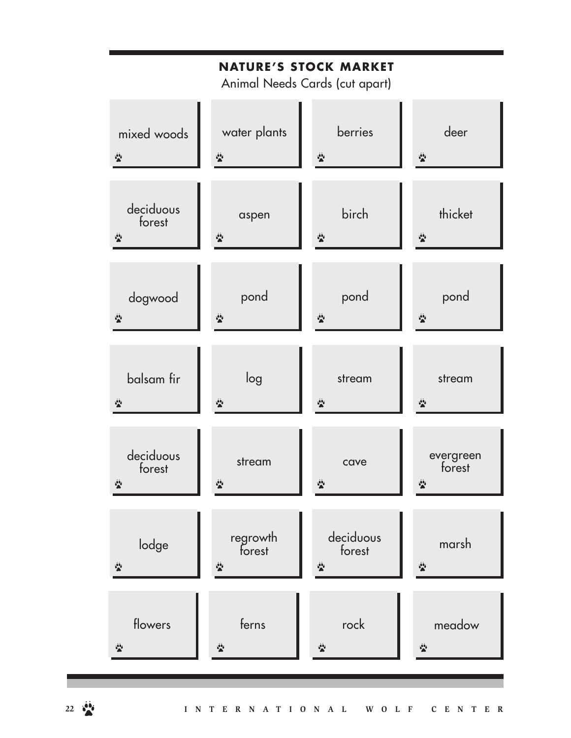| <b>NATURE'S STOCK MARKET</b><br>Animal Needs Cards (cut apart) |                    |                                     |                                            |
|----------------------------------------------------------------|--------------------|-------------------------------------|--------------------------------------------|
| mixed woods                                                    | water plants       | berries                             | deer                                       |
| $\mathbf{a}$                                                   | $\mathbf{a}$       |                                     | $\mathbf{r}^{(i)}_{\mathbf{a}}$            |
| deciduous<br>forest<br>$\mathbf{a}$                            | aspen              | birch                               | thicket<br>$\mathbf{r}^{(i)}_{\mathbf{a}}$ |
| dogwood                                                        | pond               | pond                                | pond                                       |
| $\mathbf{a}$                                                   |                    |                                     | $\mathbf{r}^{(i)}_{\mathbf{a}}$            |
| balsam fir                                                     | log                | stream                              | stream                                     |
| $\mathbf{a}$                                                   |                    |                                     | $\mathbf{r}^{(i)}_{\mathbf{a}}$            |
| deciduous<br>forest<br>$\mathbf{a}$                            | stream             | cave                                | evergreen<br>forest                        |
| lodge<br>$\mathbf{a}$                                          | regrowth<br>forest | deciduous<br>forest<br>$\mathbf{a}$ | marsh<br>$\mathbf{r}^{(i)}_{\mathbf{a}}$   |
| flowers                                                        | ferns              | rock                                | meadow                                     |
| $\mathbf{a}$                                                   | $\mathbf{a}$       | $\mathbf{a}$                        | $\mathbf{a}$                               |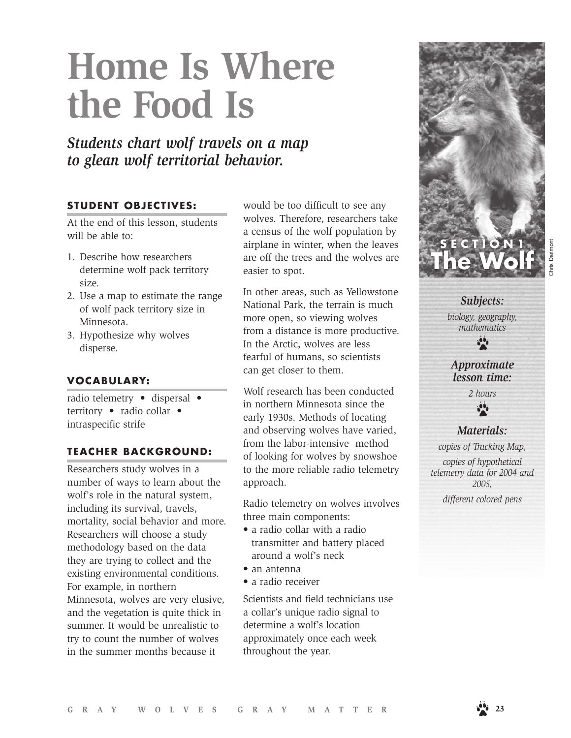# **Home Is Where the Food Is**

*Students chart wolf travels on a map to glean wolf territorial behavior.*

#### **STUDENT OBJECTIVES:**

At the end of this lesson, students will be able to:

- 1. Describe how researchers determine wolf pack territory size.
- 2. Use a map to estimate the range of wolf pack territory size in Minnesota.
- 3. Hypothesize why wolves disperse.

## **VOCABULARY:**

radio telemetry • dispersal • territory • radio collar • intraspecific strife

#### **TEACHER BACKGROUND:**

Researchers study wolves in a number of ways to learn about the wolf's role in the natural system, including its survival, travels, mortality, social behavior and more. Researchers will choose a study methodology based on the data they are trying to collect and the existing environmental conditions. For example, in northern Minnesota, wolves are very elusive, and the vegetation is quite thick in summer. It would be unrealistic to try to count the number of wolves in the summer months because it

would be too difficult to see any wolves. Therefore, researchers take a census of the wolf population by airplane in winter, when the leaves are off the trees and the wolves are easier to spot.

In other areas, such as Yellowstone National Park, the terrain is much more open, so viewing wolves from a distance is more productive. In the Arctic, wolves are less fearful of humans, so scientists can get closer to them.

Wolf research has been conducted in northern Minnesota since the early 1930s. Methods of locating and observing wolves have varied, from the labor-intensive method of looking for wolves by snowshoe to the more reliable radio telemetry approach.

Radio telemetry on wolves involves three main components:

- a radio collar with a radio transmitter and battery placed around a wolf's neck
- an antenna
- a radio receiver

Scientists and field technicians use a collar's unique radio signal to determine a wolf's location approximately once each week throughout the year.



Chris Darimont

*Subjects:* 

*biology, geography, mathematics*

 $\frac{1}{2}$ 

*Approximate lesson time:*

> *2 hours*  $\mathbf{e}^{\mathbf{e}}$

*Materials:* 

*copies of Tracking Map, copies of hypothetical telemetry data for 2004 and 2005,* 

*different colored pens*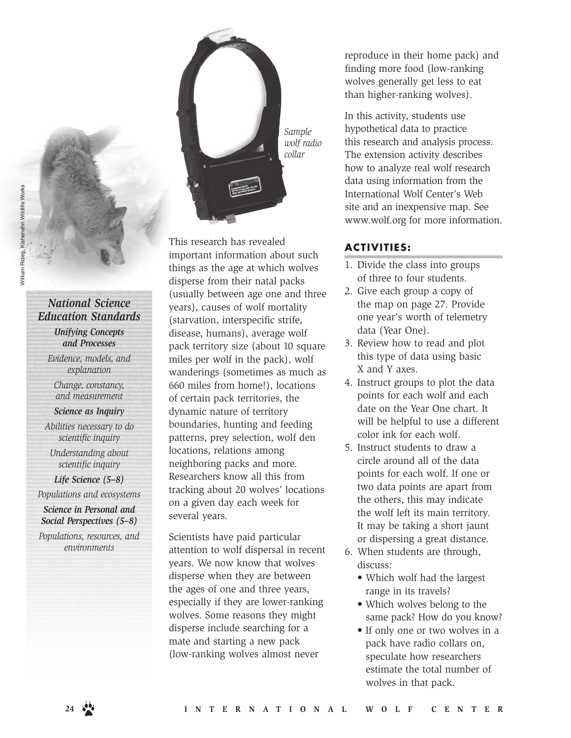## *National Science Education Standards*

*Unifying Concepts and Processes*

*Evidence, models, and explanation* 

*Change, constancy, and measurement*

*Science as Inquiry*

*Abilities necessary to do scientific inquiry*

*Understanding about scientific inquiry*

*Life Science (5–8) Populations and ecosystems*

*Science in Personal and* 

*Social Perspectives (5–8)*

*Populations, resources, and environments* 

*Sample wolf radio collar*

This research has revealed important information about such things as the age at which wolves disperse from their natal packs (usually between age one and three years), causes of wolf mortality (starvation, interspecific strife, disease, humans), average wolf pack territory size (about 10 square miles per wolf in the pack), wolf wanderings (sometimes as much as 660 miles from home!), locations of certain pack territories, the dynamic nature of territory boundaries, hunting and feeding patterns, prey selection, wolf den locations, relations among neighboring packs and more. Researchers know all this from tracking about 20 wolves' locations on a given day each week for several years.

Scientists have paid particular attention to wolf dispersal in recent years. We now know that wolves disperse when they are between the ages of one and three years, especially if they are lower-ranking wolves. Some reasons they might disperse include searching for a mate and starting a new pack (low-ranking wolves almost never

reproduce in their home pack) and finding more food (low-ranking wolves generally get less to eat than higher-ranking wolves).

In this activity, students use hypothetical data to practice this research and analysis process. The extension activity describes how to analyze real wolf research data using information from the International Wolf Center's Web site and an inexpensive map. See www.wolf.org for more information.

#### **ACT IV IT IES :**

- 1. Divide the class into groups of three to four students.
- 2. Give each group a copy of the map on page 27. Provide one year's worth of telemetry data (Year One).
- 3. Review how to read and plot this type of data using basic X and Y axes.
- 4. Instruct groups to plot the data points for each wolf and each date on the Year One chart. It will be helpful to use a different color ink for each wolf.
- 5. Instruct students to draw a circle around all of the data points for each wolf. If one or two data points are apart from the others, this may indicate the wolf left its main territory. It may be taking a short jaunt or dispersing a great distance.
- 6. When students are through, discuss:
	- Which wolf had the largest range in its travels?
	- Which wolves belong to the same pack? How do you know?
	- If only one or two wolves in a pack have radio collars on, speculate how researchers estimate the total number of wolves in that pack.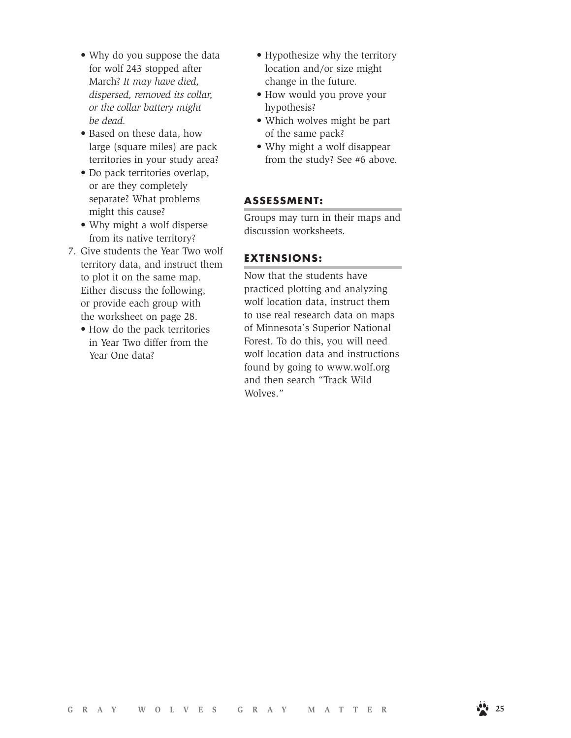- Why do you suppose the data for wolf 243 stopped after March? *It may have died, dispersed, removed its collar, or the collar battery might be dead.*
- Based on these data, how large (square miles) are pack territories in your study area?
- Do pack territories overlap, or are they completely separate? What problems might this cause?
- Why might a wolf disperse from its native territory?
- 7. Give students the Year Two wolf territory data, and instruct them to plot it on the same map. Either discuss the following, or provide each group with the worksheet on page 28.
	- How do the pack territories in Year Two differ from the Year One data?
- Hypothesize why the territory location and/or size might change in the future.
- How would you prove your hypothesis?
- Which wolves might be part of the same pack?
- Why might a wolf disappear from the study? See #6 above.

#### **ASSESSMENT:**

Groups may turn in their maps and discussion worksheets.

#### **EXTENSIONS:**

Now that the students have practiced plotting and analyzing wolf location data, instruct them to use real research data on maps of Minnesota's Superior National Forest. To do this, you will need wolf location data and instructions found by going to www.wolf.org and then search "Track Wild Wolves."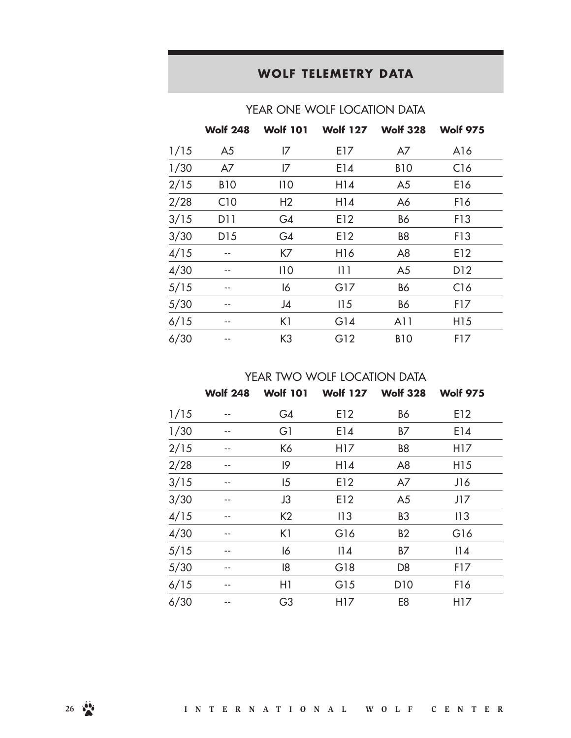# **WOLF TELEMETRY DATA**

|      | <b>Wolf 248</b> | <b>Wolf 101</b> |                 | Wolf 127 Wolf 328 | <b>Wolf 975</b> |
|------|-----------------|-----------------|-----------------|-------------------|-----------------|
| 1/15 | A <sub>5</sub>  | 17              | E17             | A7                | A16             |
| 1/30 | A7              | 17              | E14             | <b>B10</b>        | C16             |
| 2/15 | <b>B10</b>      | 110             | H14             | A <sub>5</sub>    | E16             |
| 2/28 | C10             | H <sub>2</sub>  | H14             | A6                | F16             |
| 3/15 | D11             | G4              | E12             | <b>B6</b>         | F13             |
| 3/30 | D <sub>15</sub> | G4              | E12             | B <sub>8</sub>    | F13             |
| 4/15 |                 | K7              | H <sub>16</sub> | A <sub>8</sub>    | E12             |
| 4/30 | --              | 110             | 111             | A <sub>5</sub>    | D <sub>12</sub> |
| 5/15 | --              | 16              | G17             | <b>B6</b>         | C16             |
| 5/30 | --              | J4              | 115             | <b>B6</b>         | F17             |
| 6/15 |                 | K1              | G14             | A11               | H <sub>15</sub> |
| 6/30 |                 | K <sub>3</sub>  | G12             | <b>B10</b>        | F17             |

### YEAR ONE WOLF LOCATION DATA

YEAR TWO WOLF LOCATION DATA

|      | <b>Wolf 248</b> | <b>Wolf 101</b> |                 | Wolf 127 Wolf 328 | <b>Wolf 975</b> |
|------|-----------------|-----------------|-----------------|-------------------|-----------------|
| 1/15 |                 | G4              | E12             | <b>B6</b>         | E12             |
| 1/30 |                 | G1              | E14             | <b>B7</b>         | E14             |
| 2/15 |                 | K6              | H17             | B <sub>8</sub>    | H17             |
| 2/28 |                 | 19              | H14             | A <sub>8</sub>    | H <sub>15</sub> |
| 3/15 |                 | 15              | E12             | A7                | J16             |
| 3/30 |                 | J3              | E12             | A <sub>5</sub>    | J17             |
| 4/15 |                 | K <sub>2</sub>  | 113             | B <sub>3</sub>    | 113             |
| 4/30 |                 | K1              | G16             | <b>B2</b>         | G16             |
| 5/15 |                 | 16              | 14              | B7                | 14              |
| 5/30 |                 | 18              | G18             | D <sub>8</sub>    | F17             |
| 6/15 |                 | H1              | G15             | D10               | F16             |
| 6/30 |                 | G <sub>3</sub>  | H <sub>17</sub> | E <sub>8</sub>    | H17             |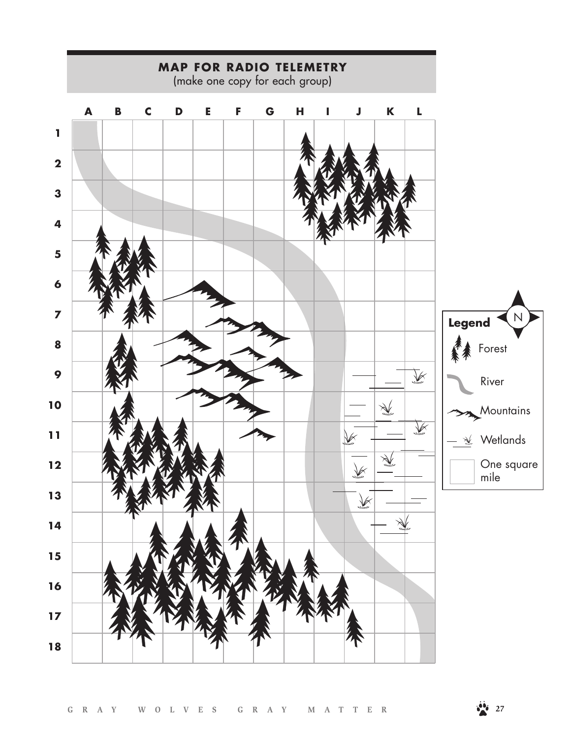